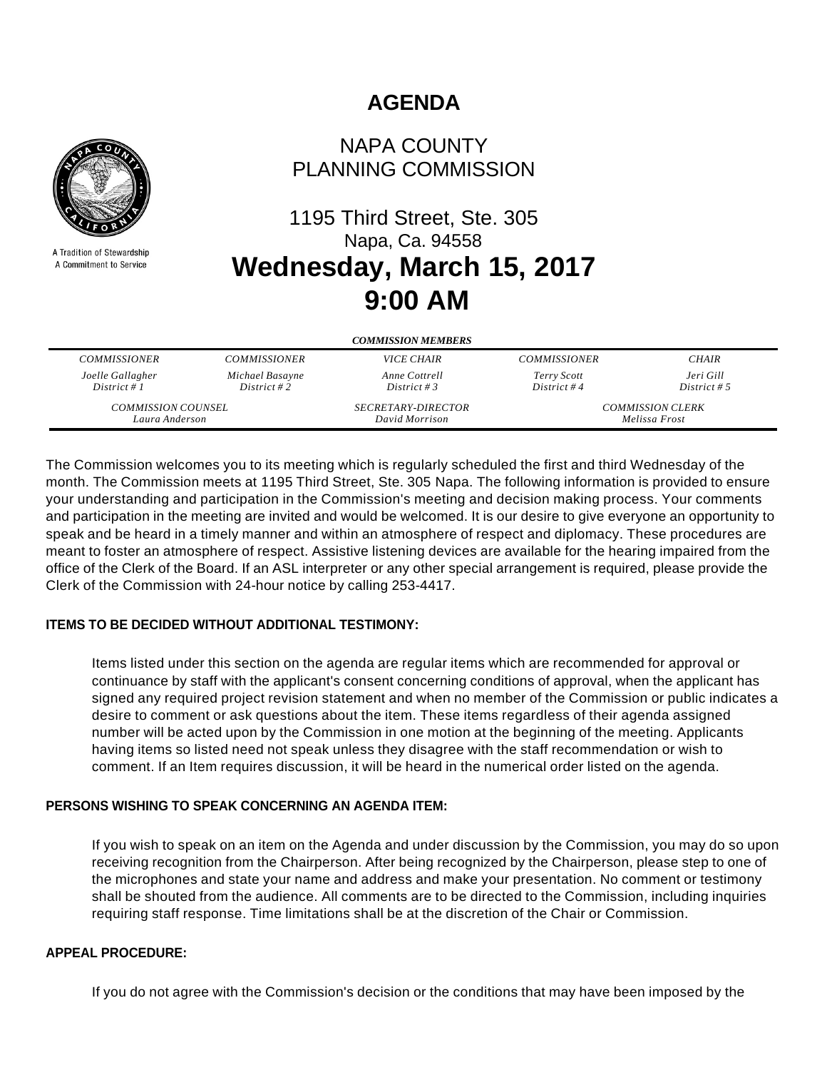# **AGENDA**



A Tradition of Stewardship A Commitment to Service

## NAPA COUNTY PLANNING COMMISSION

# 1195 Third Street, Ste. 305 Napa, Ca. 94558 **Wednesday, March 15, 2017 9:00 AM**

| <b>COMMISSION MEMBERS</b> |                     |                           |                         |              |
|---------------------------|---------------------|---------------------------|-------------------------|--------------|
| <b>COMMISSIONER</b>       | <b>COMMISSIONER</b> | <i>VICE CHAIR</i>         | <b>COMMISSIONER</b>     | <b>CHAIR</b> |
| Joelle Gallagher          | Michael Basayne     | Anne Cottrell             | Terry Scott             | Jeri Gill    |
| District # $1$            | District #2         | District # 3              | District #4             | District # 5 |
| <b>COMMISSION COUNSEL</b> |                     | <i>SECRETARY-DIRECTOR</i> | <b>COMMISSION CLERK</b> |              |
| Laura Anderson            |                     | David Morrison            | Melissa Frost           |              |

The Commission welcomes you to its meeting which is regularly scheduled the first and third Wednesday of the month. The Commission meets at 1195 Third Street, Ste. 305 Napa. The following information is provided to ensure your understanding and participation in the Commission's meeting and decision making process. Your comments and participation in the meeting are invited and would be welcomed. It is our desire to give everyone an opportunity to speak and be heard in a timely manner and within an atmosphere of respect and diplomacy. These procedures are meant to foster an atmosphere of respect. Assistive listening devices are available for the hearing impaired from the office of the Clerk of the Board. If an ASL interpreter or any other special arrangement is required, please provide the Clerk of the Commission with 24-hour notice by calling 253-4417.

#### **ITEMS TO BE DECIDED WITHOUT ADDITIONAL TESTIMONY:**

Items listed under this section on the agenda are regular items which are recommended for approval or continuance by staff with the applicant's consent concerning conditions of approval, when the applicant has signed any required project revision statement and when no member of the Commission or public indicates a desire to comment or ask questions about the item. These items regardless of their agenda assigned number will be acted upon by the Commission in one motion at the beginning of the meeting. Applicants having items so listed need not speak unless they disagree with the staff recommendation or wish to comment. If an Item requires discussion, it will be heard in the numerical order listed on the agenda.

## **PERSONS WISHING TO SPEAK CONCERNING AN AGENDA ITEM:**

If you wish to speak on an item on the Agenda and under discussion by the Commission, you may do so upon receiving recognition from the Chairperson. After being recognized by the Chairperson, please step to one of the microphones and state your name and address and make your presentation. No comment or testimony shall be shouted from the audience. All comments are to be directed to the Commission, including inquiries requiring staff response. Time limitations shall be at the discretion of the Chair or Commission.

#### **APPEAL PROCEDURE:**

If you do not agree with the Commission's decision or the conditions that may have been imposed by the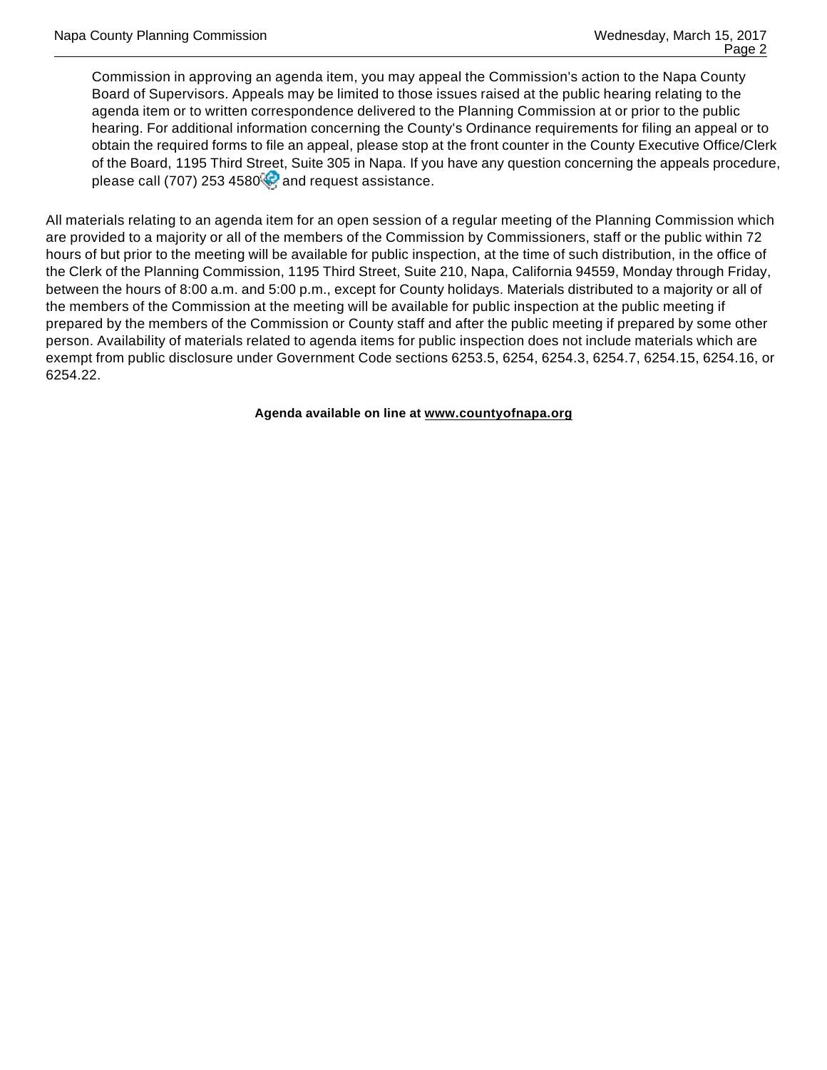Commission in approving an agenda item, you may appeal the Commission's action to the Napa County Board of Supervisors. Appeals may be limited to those issues raised at the public hearing relating to the agenda item or to written correspondence delivered to the Planning Commission at or prior to the public hearing. For additional information concerning the County's Ordinance requirements for filing an appeal or to obtain the required forms to file an appeal, please stop at the front counter in the County Executive Office/Clerk of the Board, 1195 Third Street, Suite 305 in Napa. If you have any question concerning the appeals procedure, please call (707) 253 4580 $\heartsuit$  and request assistance.

All materials relating to an agenda item for an open session of a regular meeting of the Planning Commission which are provided to a majority or all of the members of the Commission by Commissioners, staff or the public within 72 hours of but prior to the meeting will be available for public inspection, at the time of such distribution, in the office of the Clerk of the Planning Commission, 1195 Third Street, Suite 210, Napa, California 94559, Monday through Friday, between the hours of 8:00 a.m. and 5:00 p.m., except for County holidays. Materials distributed to a majority or all of the members of the Commission at the meeting will be available for public inspection at the public meeting if prepared by the members of the Commission or County staff and after the public meeting if prepared by some other person. Availability of materials related to agenda items for public inspection does not include materials which are exempt from public disclosure under Government Code sections 6253.5, 6254, 6254.3, 6254.7, 6254.15, 6254.16, or 6254.22.

**Agenda available on line at www.countyofnapa.org**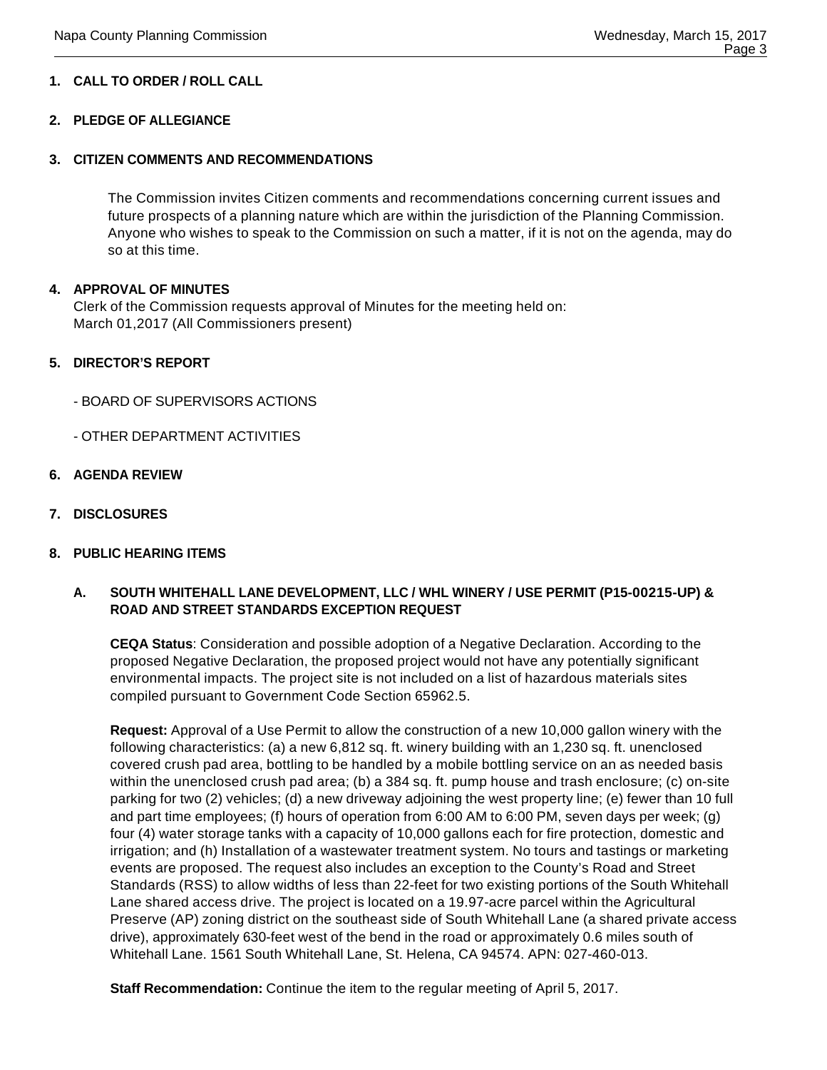#### **1. CALL TO ORDER / ROLL CALL**

#### **2. PLEDGE OF ALLEGIANCE**

#### **3. CITIZEN COMMENTS AND RECOMMENDATIONS**

The Commission invites Citizen comments and recommendations concerning current issues and future prospects of a planning nature which are within the jurisdiction of the Planning Commission. Anyone who wishes to speak to the Commission on such a matter, if it is not on the agenda, may do so at this time.

#### **4. APPROVAL OF MINUTES**

Clerk of the Commission requests approval of Minutes for the meeting held on: March 01,2017 (All Commissioners present)

#### **5. DIRECTOR'S REPORT**

- BOARD OF SUPERVISORS ACTIONS
- OTHER DEPARTMENT ACTIVITIES
- **6. AGENDA REVIEW**
- **7. DISCLOSURES**

#### **8. PUBLIC HEARING ITEMS**

#### **A. SOUTH WHITEHALL LANE DEVELOPMENT, LLC / WHL WINERY / USE PERMIT (P15-00215-UP) & ROAD AND STREET STANDARDS EXCEPTION REQUEST**

**CEQA Status**: Consideration and possible adoption of a Negative Declaration. According to the proposed Negative Declaration, the proposed project would not have any potentially significant environmental impacts. The project site is not included on a list of hazardous materials sites compiled pursuant to Government Code Section 65962.5.

**Request:** Approval of a Use Permit to allow the construction of a new 10,000 gallon winery with the following characteristics: (a) a new 6,812 sq. ft. winery building with an 1,230 sq. ft. unenclosed covered crush pad area, bottling to be handled by a mobile bottling service on an as needed basis within the unenclosed crush pad area; (b) a 384 sq. ft. pump house and trash enclosure; (c) on-site parking for two (2) vehicles; (d) a new driveway adjoining the west property line; (e) fewer than 10 full and part time employees; (f) hours of operation from 6:00 AM to 6:00 PM, seven days per week; (g) four (4) water storage tanks with a capacity of 10,000 gallons each for fire protection, domestic and irrigation; and (h) Installation of a wastewater treatment system. No tours and tastings or marketing events are proposed. The request also includes an exception to the County's Road and Street Standards (RSS) to allow widths of less than 22-feet for two existing portions of the South Whitehall Lane shared access drive. The project is located on a 19.97-acre parcel within the Agricultural Preserve (AP) zoning district on the southeast side of South Whitehall Lane (a shared private access drive), approximately 630-feet west of the bend in the road or approximately 0.6 miles south of Whitehall Lane. 1561 South Whitehall Lane, St. Helena, CA 94574. APN: 027-460-013.

**Staff Recommendation:** Continue the item to the regular meeting of April 5, 2017.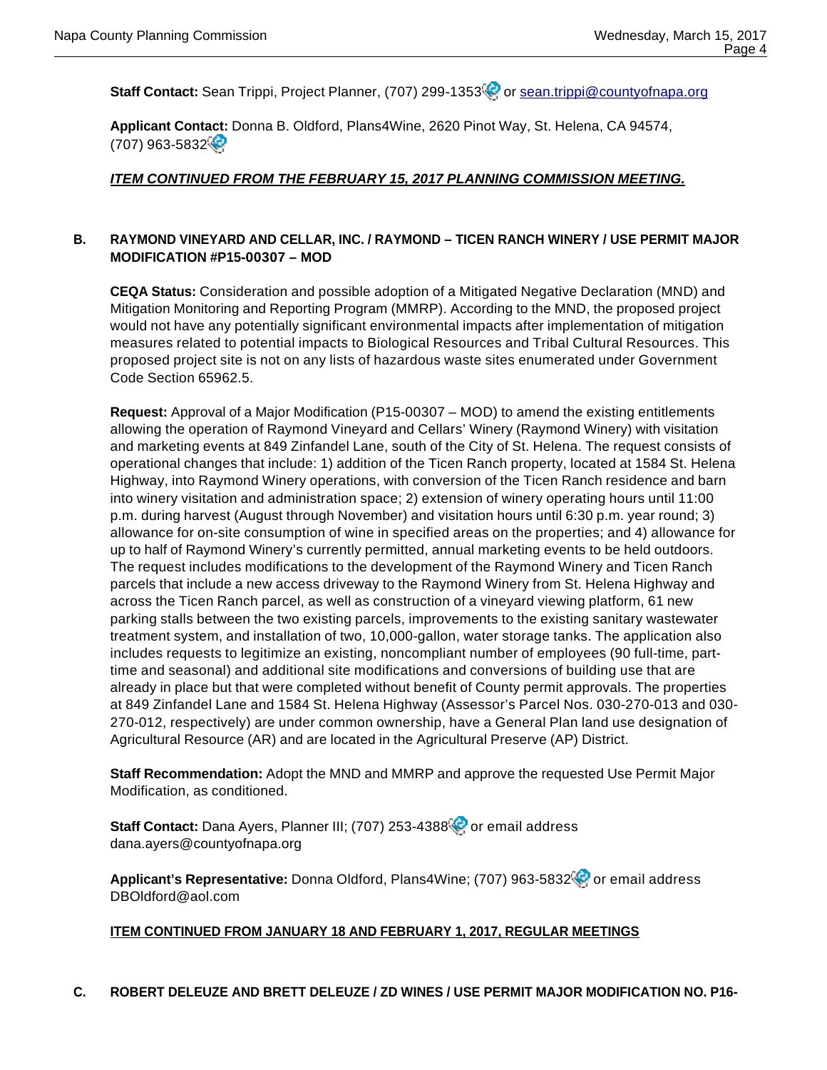**Staff Contact:** Sean Trippi, Project Planner, (707) 299-1353<sup>8</sup> or sean.trippi@countyofnapa.org

**Applicant Contact:** Donna B. Oldford, Plans4Wine, 2620 Pinot Way, St. Helena, CA 94574, (707) 963-5832

#### **ITEM CONTINUED FROM THE FEBRUARY 15, 2017 PLANNING COMMISSION MEETING.**

#### **B. RAYMOND VINEYARD AND CELLAR, INC. / RAYMOND – TICEN RANCH WINERY / USE PERMIT MAJOR MODIFICATION #P15-00307 – MOD**

**CEQA Status:** Consideration and possible adoption of a Mitigated Negative Declaration (MND) and Mitigation Monitoring and Reporting Program (MMRP). According to the MND, the proposed project would not have any potentially significant environmental impacts after implementation of mitigation measures related to potential impacts to Biological Resources and Tribal Cultural Resources. This proposed project site is not on any lists of hazardous waste sites enumerated under Government Code Section 65962.5.

**Request:** Approval of a Major Modification (P15-00307 – MOD) to amend the existing entitlements allowing the operation of Raymond Vineyard and Cellars' Winery (Raymond Winery) with visitation and marketing events at 849 Zinfandel Lane, south of the City of St. Helena. The request consists of operational changes that include: 1) addition of the Ticen Ranch property, located at 1584 St. Helena Highway, into Raymond Winery operations, with conversion of the Ticen Ranch residence and barn into winery visitation and administration space; 2) extension of winery operating hours until 11:00 p.m. during harvest (August through November) and visitation hours until 6:30 p.m. year round; 3) allowance for on-site consumption of wine in specified areas on the properties; and 4) allowance for up to half of Raymond Winery's currently permitted, annual marketing events to be held outdoors. The request includes modifications to the development of the Raymond Winery and Ticen Ranch parcels that include a new access driveway to the Raymond Winery from St. Helena Highway and across the Ticen Ranch parcel, as well as construction of a vineyard viewing platform, 61 new parking stalls between the two existing parcels, improvements to the existing sanitary wastewater treatment system, and installation of two, 10,000-gallon, water storage tanks. The application also includes requests to legitimize an existing, noncompliant number of employees (90 full-time, parttime and seasonal) and additional site modifications and conversions of building use that are already in place but that were completed without benefit of County permit approvals. The properties at 849 Zinfandel Lane and 1584 St. Helena Highway (Assessor's Parcel Nos. 030-270-013 and 030- 270-012, respectively) are under common ownership, have a General Plan land use designation of Agricultural Resource (AR) and are located in the Agricultural Preserve (AP) District.

**Staff Recommendation:** Adopt the MND and MMRP and approve the requested Use Permit Major Modification, as conditioned.

Staff Contact: Dana Ayers, Planner III; (707) 253-4388<sup>0</sup> or email address dana.ayers@countyofnapa.org

Applicant's Representative: Donna Oldford, Plans4Wine; (707) 963-5832<sup>(2)</sup> or email address DBOldford@aol.com

#### **ITEM CONTINUED FROM JANUARY 18 AND FEBRUARY 1, 2017, REGULAR MEETINGS**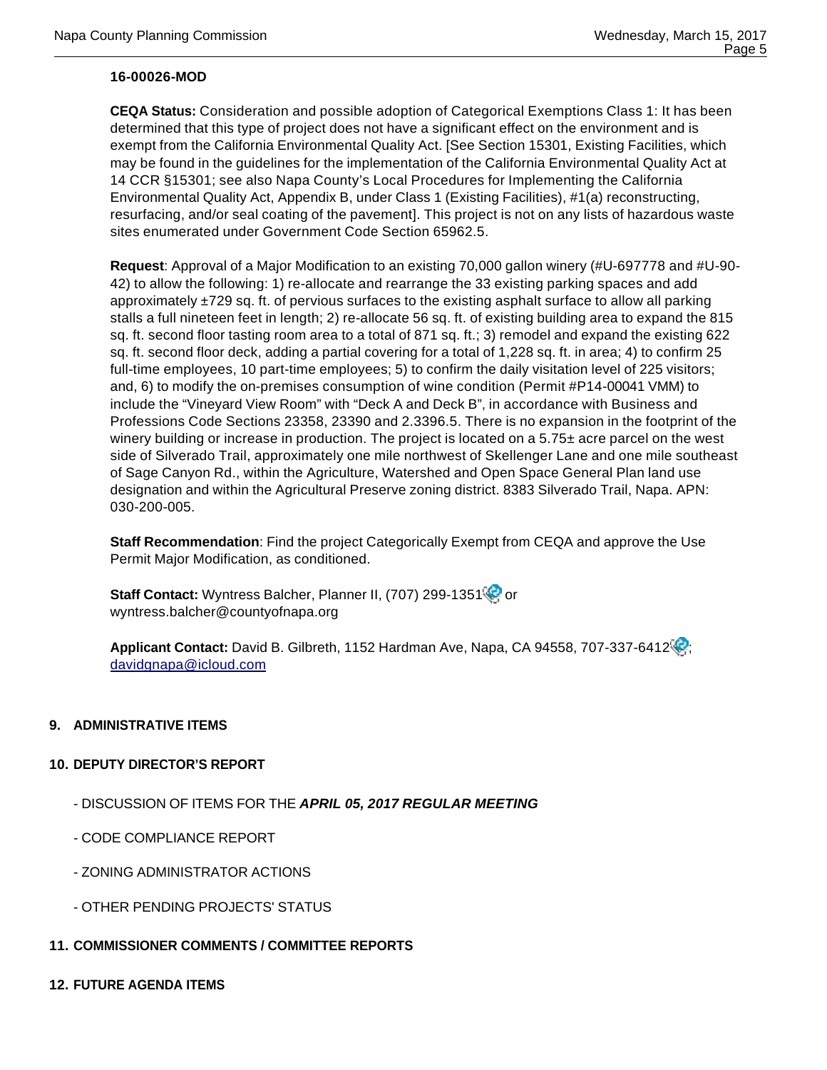#### **16-00026-MOD**

**CEQA Status:** Consideration and possible adoption of Categorical Exemptions Class 1: It has been determined that this type of project does not have a significant effect on the environment and is exempt from the California Environmental Quality Act. [See Section 15301, Existing Facilities, which may be found in the guidelines for the implementation of the California Environmental Quality Act at 14 CCR §15301; see also Napa County's Local Procedures for Implementing the California Environmental Quality Act, Appendix B, under Class 1 (Existing Facilities), #1(a) reconstructing, resurfacing, and/or seal coating of the pavement]. This project is not on any lists of hazardous waste sites enumerated under Government Code Section 65962.5.

**Request**: Approval of a Major Modification to an existing 70,000 gallon winery (#U-697778 and #U-90- 42) to allow the following: 1) re-allocate and rearrange the 33 existing parking spaces and add approximately  $\pm$ 729 sq. ft. of pervious surfaces to the existing asphalt surface to allow all parking stalls a full nineteen feet in length; 2) re-allocate 56 sq. ft. of existing building area to expand the 815 sq. ft. second floor tasting room area to a total of 871 sq. ft.; 3) remodel and expand the existing 622 sq. ft. second floor deck, adding a partial covering for a total of 1,228 sq. ft. in area; 4) to confirm 25 full-time employees, 10 part-time employees; 5) to confirm the daily visitation level of 225 visitors; and, 6) to modify the on-premises consumption of wine condition (Permit #P14-00041 VMM) to include the "Vineyard View Room" with "Deck A and Deck B", in accordance with Business and Professions Code Sections 23358, 23390 and 2.3396.5. There is no expansion in the footprint of the winery building or increase in production. The project is located on a  $5.75\pm$  acre parcel on the west side of Silverado Trail, approximately one mile northwest of Skellenger Lane and one mile southeast of Sage Canyon Rd., within the Agriculture, Watershed and Open Space General Plan land use designation and within the Agricultural Preserve zoning district. 8383 Silverado Trail, Napa. APN: 030-200-005.

**Staff Recommendation**: Find the project Categorically Exempt from CEQA and approve the Use Permit Major Modification, as conditioned.

Staff Contact: Wyntress Balcher, Planner II, (707) 299-1351<sup>(2)</sup> or wyntress.balcher@countyofnapa.org

Applicant Contact: David B. Gilbreth, 1152 Hardman Ave, Napa, CA 94558, 707-337-6412<sup>(2)</sup>; davidgnapa@icloud.com

#### **9. ADMINISTRATIVE ITEMS**

#### **10. DEPUTY DIRECTOR'S REPORT**

- DISCUSSION OF ITEMS FOR THE **APRIL 05, 2017 REGULAR MEETING**
- CODE COMPLIANCE REPORT
- ZONING ADMINISTRATOR ACTIONS
- OTHER PENDING PROJECTS' STATUS
- **11. COMMISSIONER COMMENTS / COMMITTEE REPORTS**
- **12. FUTURE AGENDA ITEMS**